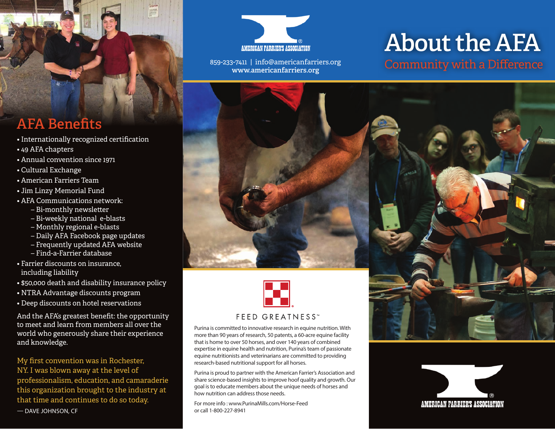

**www.americanfarriers.org**

# **About the AFA**

859-233-7411 | info@americanfarriers.org<br>WWW.americanfarriers.org<br>Community with a Difference



Purina is committed to innovative research in equine nutrition. With more than 90 years of research, 50 patents, a 60-acre equine facility that is home to over 50 horses, and over 140 years of combined expertise in equine health and nutrition, Purina's team of passionate equine nutritionists and veterinarians are committed to providing research-based nutritional support for all horses.

Purina is proud to partner with the American Farrier's Association and share science-based insights to improve hoof quality and growth. Our goal is to educate members about the unique needs of horses and how nutrition can address those needs.

For more info : www.PurinaMills.com/Horse-Feed or call 1-800-227-8941

### **AFA Benefits**

- Internationally recognized certification
- 49 AFA chapters
- Annual convention since 1971
- Cultural Exchange
- American Farriers Team
- Jim Linzy Memorial Fund
- AFA Communications network:
	- Bi-monthly newsletter
	- Bi-weekly national e-blasts
	- Monthly regional e-blasts
	- Daily AFA Facebook page updates
	- Frequently updated AFA website
	- Find-a-Farrier database
- Farrier discounts on insurance, including liability
- \$50,000 death and disability insurance policy
- NTRA Advantage discounts program
- Deep discounts on hotel reservations

And the AFA's greatest benefit: the opportunity to meet and learn from members all over the world who generously share their experience and knowledge.

My first convention was in Rochester, NY. I was blown away at the level of professionalism, education, and camaraderie this organization brought to the industry at that time and continues to do so today. — DAVE JOHNSON, CF